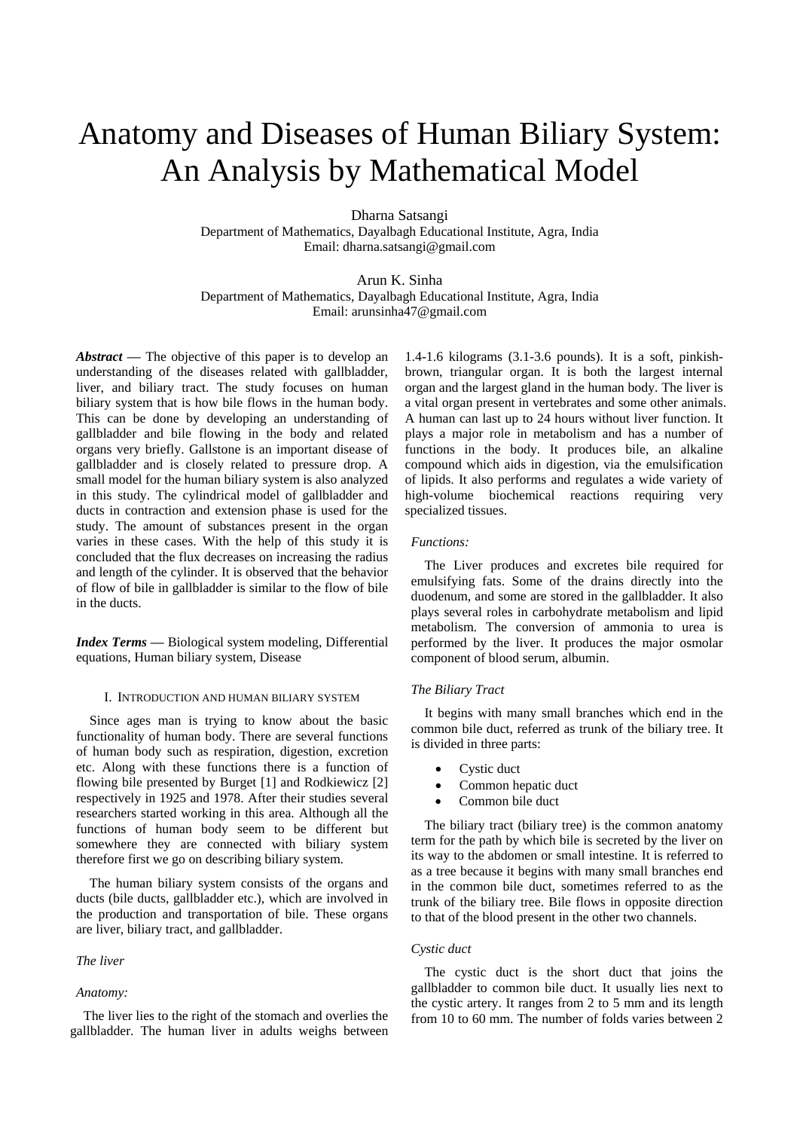# Anatomy and Diseases of Human Biliary System: An Analysis by Mathematical Model

Dharna Satsangi Department of Mathematics, Dayalbagh Educational Institute, Agra, India Email: dharna.satsangi@gmail.com

Arun K. Sinha Department of Mathematics, Dayalbagh Educational Institute, Agra, India Email: arunsinha47@gmail.com

*Abstract* **—** The objective of this paper is to develop an understanding of the diseases related with gallbladder, liver, and biliary tract. The study focuses on human biliary system that is how bile flows in the human body. This can be done by developing an understanding of gallbladder and bile flowing in the body and related organs very briefly. Gallstone is an important disease of gallbladder and is closely related to pressure drop. A small model for the human biliary system is also analyzed in this study. The cylindrical model of gallbladder and ducts in contraction and extension phase is used for the study. The amount of substances present in the organ varies in these cases. With the help of this study it is concluded that the flux decreases on increasing the radius and length of the cylinder. It is observed that the behavior of flow of bile in gallbladder is similar to the flow of bile in the ducts.

*Index Terms* **—** Biological system modeling, Differential equations, Human biliary system, Disease

# I. INTRODUCTION AND HUMAN BILIARY SYSTEM

Since ages man is trying to know about the basic functionality of human body. There are several functions of human body such as respiration, digestion, excretion etc. Along with these functions there is a function of flowing bile presented by Burget [1] and Rodkiewicz [2] respectively in 1925 and 1978. After their studies several researchers started working in this area. Although all the functions of human body seem to be different but somewhere they are connected with biliary system therefore first we go on describing biliary system.

The human biliary system consists of the organs and ducts (bile ducts, gallbladder etc.), which are involved in the production and transportation of bile. These organs are liver, biliary tract, and gallbladder.

# *The liver*

#### *Anatomy:*

The liver lies to the right of the stomach and overlies the gallbladder. The human liver in adults weighs between

1.4-1.6 kilograms (3.1-3.6 pounds). It is a soft, pinkishbrown, triangular organ. It is both the largest internal organ and the largest gland in the human body. The liver is a vital organ present in vertebrates and some other animals. A human can last up to 24 hours without liver function. It plays a major role in metabolism and has a number of functions in the body. It produces bile, an alkaline compound which aids in digestion, via the emulsification of lipids. It also performs and regulates a wide variety of high-volume biochemical reactions requiring very specialized tissues.

## *Functions:*

The Liver produces and excretes bile required for emulsifying fats. Some of the drains directly into the duodenum, and some are stored in the gallbladder. It also plays several roles in carbohydrate metabolism and lipid metabolism. The conversion of ammonia to urea is performed by the liver. It produces the major osmolar component of blood serum, albumin.

# *The Biliary Tract*

It begins with many small branches which end in the common bile duct, referred as trunk of the biliary tree. It is divided in three parts:

- Cystic duct
- Common hepatic duct
- Common bile duct

The biliary tract (biliary tree) is the common anatomy term for the path by which bile is secreted by the liver on its way to the abdomen or small intestine. It is referred to as a tree because it begins with many small branches end in the common bile duct, sometimes referred to as the trunk of the biliary tree. Bile flows in opposite direction to that of the blood present in the other two channels.

# *Cystic duct*

The cystic duct is the short duct that joins the gallbladder to common bile duct. It usually lies next to the cystic artery. It ranges from 2 to 5 mm and its length from 10 to 60 mm. The number of folds varies between 2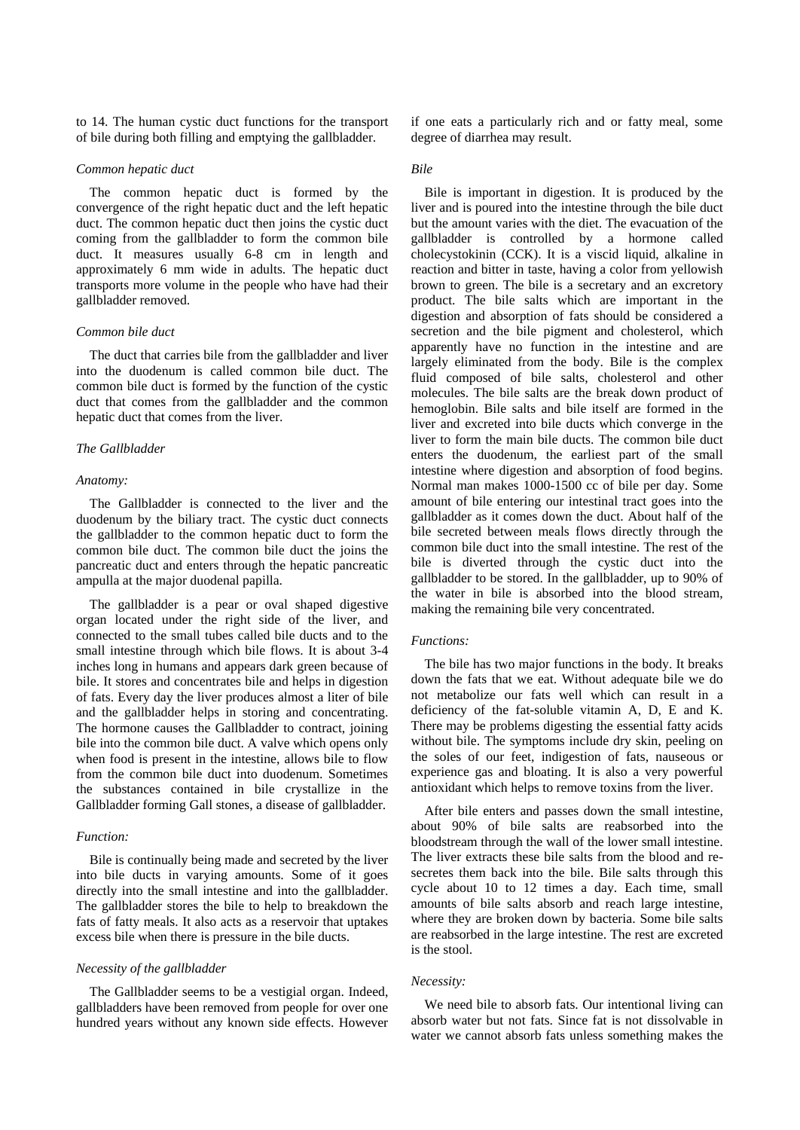to 14. The human cystic duct functions for the transport of bile during both filling and emptying the gallbladder.

## *Common hepatic duct*

The common hepatic duct is formed by the convergence of the right hepatic duct and the left hepatic duct. The common hepatic duct then joins the cystic duct coming from the gallbladder to form the common bile duct. It measures usually 6-8 cm in length and approximately 6 mm wide in adults. The hepatic duct transports more volume in the people who have had their gallbladder removed.

# *Common bile duct*

The duct that carries bile from the gallbladder and liver into the duodenum is called common bile duct. The common bile duct is formed by the function of the cystic duct that comes from the gallbladder and the common hepatic duct that comes from the liver.

# *The Gallbladder*

#### *Anatomy:*

The Gallbladder is connected to the liver and the duodenum by the biliary tract. The cystic duct connects the gallbladder to the common hepatic duct to form the common bile duct. The common bile duct the joins the pancreatic duct and enters through the hepatic pancreatic ampulla at the major duodenal papilla.

The gallbladder is a pear or oval shaped digestive organ located under the right side of the liver, and connected to the small tubes called bile ducts and to the small intestine through which bile flows. It is about 3-4 inches long in humans and appears dark green because of bile. It stores and concentrates bile and helps in digestion of fats. Every day the liver produces almost a liter of bile and the gallbladder helps in storing and concentrating. The hormone causes the Gallbladder to contract, joining bile into the common bile duct. A valve which opens only when food is present in the intestine, allows bile to flow from the common bile duct into duodenum. Sometimes the substances contained in bile crystallize in the Gallbladder forming Gall stones, a disease of gallbladder.

## *Function:*

Bile is continually being made and secreted by the liver into bile ducts in varying amounts. Some of it goes directly into the small intestine and into the gallbladder. The gallbladder stores the bile to help to breakdown the fats of fatty meals. It also acts as a reservoir that uptakes excess bile when there is pressure in the bile ducts.

#### *Necessity of the gallbladder*

The Gallbladder seems to be a vestigial organ. Indeed, gallbladders have been removed from people for over one hundred years without any known side effects. However if one eats a particularly rich and or fatty meal, some degree of diarrhea may result.

## *Bile*

Bile is important in digestion. It is produced by the liver and is poured into the intestine through the bile duct but the amount varies with the diet. The evacuation of the gallbladder is controlled by a hormone called cholecystokinin (CCK). It is a viscid liquid, alkaline in reaction and bitter in taste, having a color from yellowish brown to green. The bile is a secretary and an excretory product. The bile salts which are important in the digestion and absorption of fats should be considered a secretion and the bile pigment and cholesterol, which apparently have no function in the intestine and are largely eliminated from the body. Bile is the complex fluid composed of bile salts, cholesterol and other molecules. The bile salts are the break down product of hemoglobin. Bile salts and bile itself are formed in the liver and excreted into bile ducts which converge in the liver to form the main bile ducts. The common bile duct enters the duodenum, the earliest part of the small intestine where digestion and absorption of food begins. Normal man makes 1000-1500 cc of bile per day. Some amount of bile entering our intestinal tract goes into the gallbladder as it comes down the duct. About half of the bile secreted between meals flows directly through the common bile duct into the small intestine. The rest of the bile is diverted through the cystic duct into the gallbladder to be stored. In the gallbladder, up to 90% of the water in bile is absorbed into the blood stream, making the remaining bile very concentrated.

# *Functions:*

The bile has two major functions in the body. It breaks down the fats that we eat. Without adequate bile we do not metabolize our fats well which can result in a deficiency of the fat-soluble vitamin A, D, E and K. There may be problems digesting the essential fatty acids without bile. The symptoms include dry skin, peeling on the soles of our feet, indigestion of fats, nauseous or experience gas and bloating. It is also a very powerful antioxidant which helps to remove toxins from the liver.

After bile enters and passes down the small intestine, about 90% of bile salts are reabsorbed into the bloodstream through the wall of the lower small intestine. The liver extracts these bile salts from the blood and resecretes them back into the bile. Bile salts through this cycle about 10 to 12 times a day. Each time, small amounts of bile salts absorb and reach large intestine, where they are broken down by bacteria. Some bile salts are reabsorbed in the large intestine. The rest are excreted is the stool.

#### *Necessity:*

We need bile to absorb fats. Our intentional living can absorb water but not fats. Since fat is not dissolvable in water we cannot absorb fats unless something makes the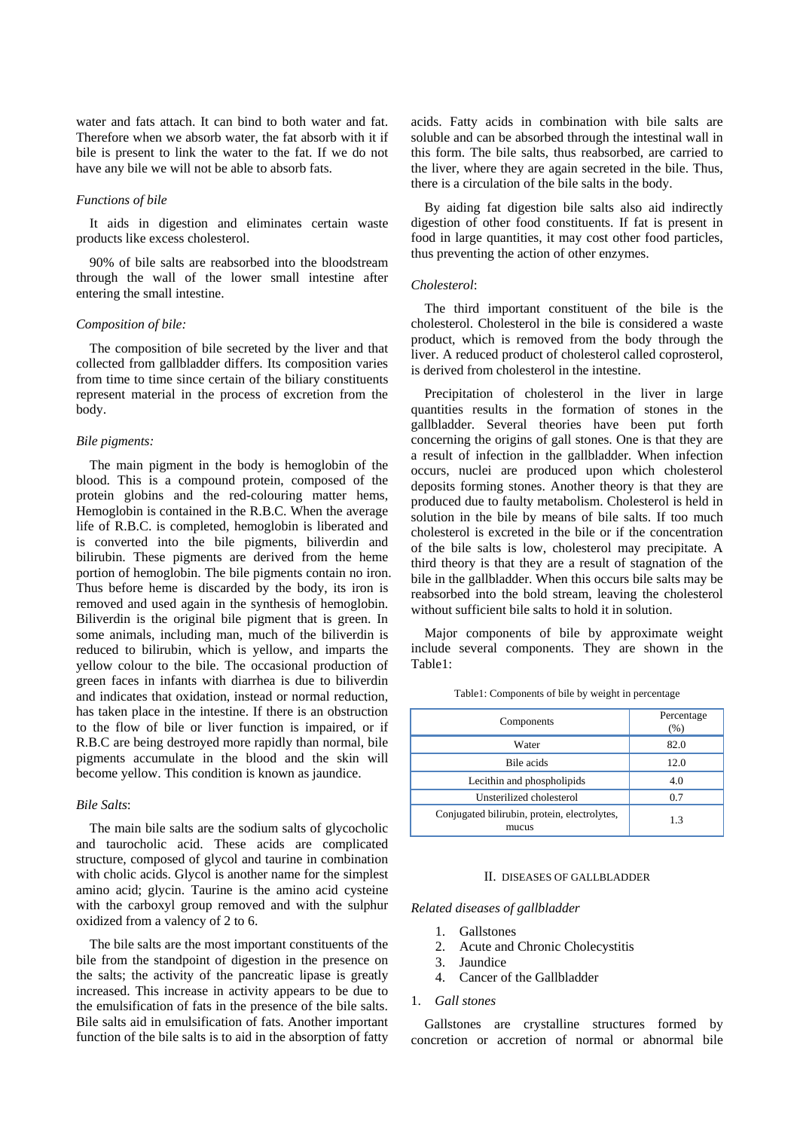water and fats attach. It can bind to both water and fat. Therefore when we absorb water, the fat absorb with it if bile is present to link the water to the fat. If we do not have any bile we will not be able to absorb fats.

## *Functions of bile*

It aids in digestion and eliminates certain waste products like excess cholesterol.

90% of bile salts are reabsorbed into the bloodstream through the wall of the lower small intestine after entering the small intestine.

## *Composition of bile:*

The composition of bile secreted by the liver and that collected from gallbladder differs. Its composition varies from time to time since certain of the biliary constituents represent material in the process of excretion from the body.

#### *Bile pigments:*

The main pigment in the body is hemoglobin of the blood. This is a compound protein, composed of the protein globins and the red-colouring matter hems, Hemoglobin is contained in the R.B.C. When the average life of R.B.C. is completed, hemoglobin is liberated and is converted into the bile pigments, biliverdin and bilirubin. These pigments are derived from the heme portion of hemoglobin. The bile pigments contain no iron. Thus before heme is discarded by the body, its iron is removed and used again in the synthesis of hemoglobin. Biliverdin is the original bile pigment that is green. In some animals, including man, much of the biliverdin is reduced to bilirubin, which is yellow, and imparts the yellow colour to the bile. The occasional production of green faces in infants with diarrhea is due to biliverdin and indicates that oxidation, instead or normal reduction, has taken place in the intestine. If there is an obstruction to the flow of bile or liver function is impaired, or if R.B.C are being destroyed more rapidly than normal, bile pigments accumulate in the blood and the skin will become yellow. This condition is known as jaundice.

#### *Bile Salts*:

The main bile salts are the sodium salts of glycocholic and taurocholic acid. These acids are complicated structure, composed of glycol and taurine in combination with cholic acids. Glycol is another name for the simplest amino acid; glycin. Taurine is the amino acid cysteine with the carboxyl group removed and with the sulphur oxidized from a valency of 2 to 6.

The bile salts are the most important constituents of the bile from the standpoint of digestion in the presence on the salts; the activity of the pancreatic lipase is greatly increased. This increase in activity appears to be due to the emulsification of fats in the presence of the bile salts. Bile salts aid in emulsification of fats. Another important function of the bile salts is to aid in the absorption of fatty acids. Fatty acids in combination with bile salts are soluble and can be absorbed through the intestinal wall in this form. The bile salts, thus reabsorbed, are carried to the liver, where they are again secreted in the bile. Thus, there is a circulation of the bile salts in the body.

By aiding fat digestion bile salts also aid indirectly digestion of other food constituents. If fat is present in food in large quantities, it may cost other food particles, thus preventing the action of other enzymes.

## *Cholesterol*:

The third important constituent of the bile is the cholesterol. Cholesterol in the bile is considered a waste product, which is removed from the body through the liver. A reduced product of cholesterol called coprosterol, is derived from cholesterol in the intestine.

Precipitation of cholesterol in the liver in large quantities results in the formation of stones in the gallbladder. Several theories have been put forth concerning the origins of gall stones. One is that they are a result of infection in the gallbladder. When infection occurs, nuclei are produced upon which cholesterol deposits forming stones. Another theory is that they are produced due to faulty metabolism. Cholesterol is held in solution in the bile by means of bile salts. If too much cholesterol is excreted in the bile or if the concentration of the bile salts is low, cholesterol may precipitate. A third theory is that they are a result of stagnation of the bile in the gallbladder. When this occurs bile salts may be reabsorbed into the bold stream, leaving the cholesterol without sufficient bile salts to hold it in solution.

Major components of bile by approximate weight include several components. They are shown in the Table1:

| Components                                            | Percentage<br>(%) |
|-------------------------------------------------------|-------------------|
| Water                                                 | 82.0              |
| Bile acids                                            | 12.0              |
| Lecithin and phospholipids                            | 4.0               |
| Unsterilized cholesterol                              | 0.7               |
| Conjugated bilirubin, protein, electrolytes,<br>mucus | 1.3               |

Table1: Components of bile by weight in percentage

#### II. DISEASES OF GALLBLADDER

#### *Related diseases of gallbladder*

- 1. Gallstones
- 2. Acute and Chronic Cholecystitis
- 3. Jaundice
- 4. Cancer of the Gallbladder
- 1. *Gall stones*

Gallstones are crystalline structures formed by concretion or accretion of normal or abnormal bile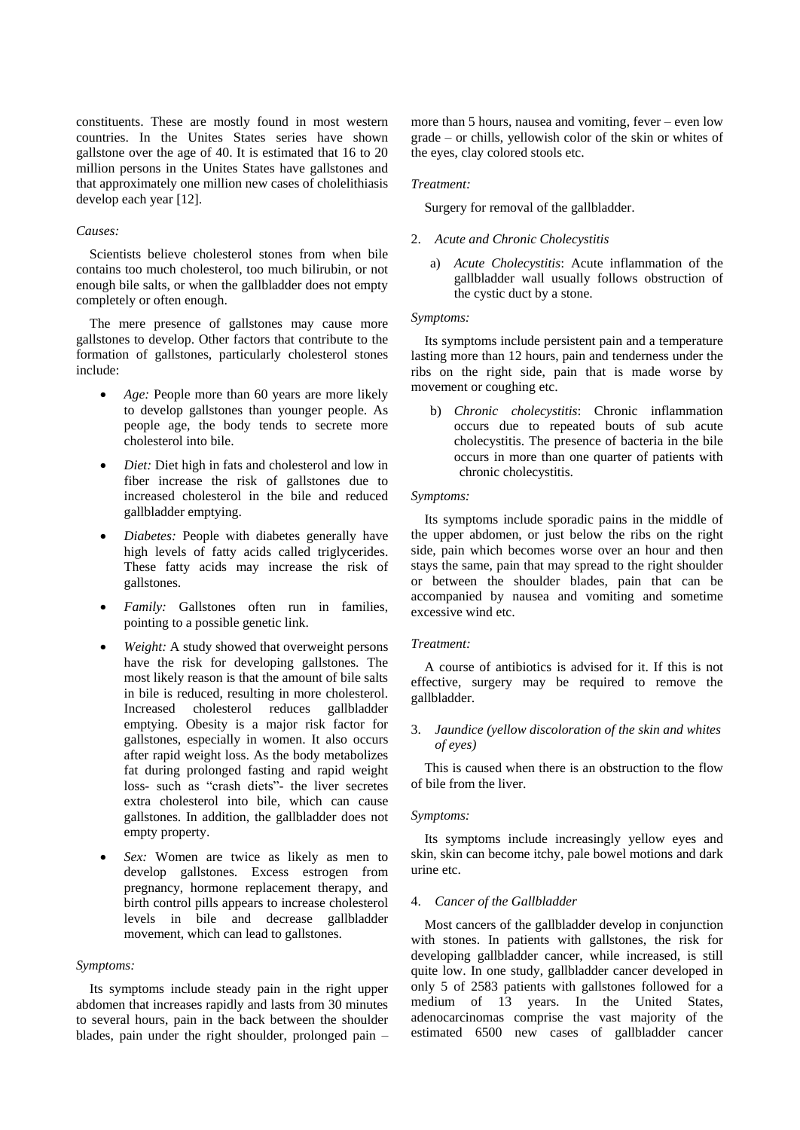constituents. These are mostly found in most western countries. In the Unites States series have shown gallstone over the age of 40. It is estimated that 16 to 20 million persons in the Unites States have gallstones and that approximately one million new cases of cholelithiasis develop each year [12].

# *Causes:*

Scientists believe cholesterol stones from when bile contains too much cholesterol, too much bilirubin, or not enough bile salts, or when the gallbladder does not empty completely or often enough.

The mere presence of gallstones may cause more gallstones to develop. Other factors that contribute to the formation of gallstones, particularly cholesterol stones include:

- *Age:* People more than 60 years are more likely to develop gallstones than younger people. As people age, the body tends to secrete more cholesterol into bile.
- *Diet:* Diet high in fats and cholesterol and low in fiber increase the risk of gallstones due to increased cholesterol in the bile and reduced gallbladder emptying.
- *Diabetes:* People with diabetes generally have high levels of fatty acids called triglycerides. These fatty acids may increase the risk of gallstones.
- *Family:* Gallstones often run in families, pointing to a possible genetic link.
- *Weight:* A study showed that overweight persons have the risk for developing gallstones. The most likely reason is that the amount of bile salts in bile is reduced, resulting in more cholesterol. Increased cholesterol reduces gallbladder emptying. Obesity is a major risk factor for gallstones, especially in women. It also occurs after rapid weight loss. As the body metabolizes fat during prolonged fasting and rapid weight loss- such as "crash diets"- the liver secretes extra cholesterol into bile, which can cause gallstones. In addition, the gallbladder does not empty property.
- *Sex:* Women are twice as likely as men to develop gallstones. Excess estrogen from pregnancy, hormone replacement therapy, and birth control pills appears to increase cholesterol levels in bile and decrease gallbladder movement, which can lead to gallstones.

#### *Symptoms:*

Its symptoms include steady pain in the right upper abdomen that increases rapidly and lasts from 30 minutes to several hours, pain in the back between the shoulder blades, pain under the right shoulder, prolonged pain – more than 5 hours, nausea and vomiting, fever – even low grade – or chills, yellowish color of the skin or whites of the eyes, clay colored stools etc.

#### *Treatment:*

Surgery for removal of the gallbladder.

#### 2. *Acute and Chronic Cholecystitis*

a) *Acute Cholecystitis*: Acute inflammation of the gallbladder wall usually follows obstruction of the cystic duct by a stone.

# *Symptoms:*

Its symptoms include persistent pain and a temperature lasting more than 12 hours, pain and tenderness under the ribs on the right side, pain that is made worse by movement or coughing etc.

b) *Chronic cholecystitis*: Chronic inflammation occurs due to repeated bouts of sub acute cholecystitis. The presence of bacteria in the bile occurs in more than one quarter of patients with chronic cholecystitis.

# *Symptoms:*

Its symptoms include sporadic pains in the middle of the upper abdomen, or just below the ribs on the right side, pain which becomes worse over an hour and then stays the same, pain that may spread to the right shoulder or between the shoulder blades, pain that can be accompanied by nausea and vomiting and sometime excessive wind etc.

#### *Treatment:*

A course of antibiotics is advised for it. If this is not effective, surgery may be required to remove the gallbladder.

# 3. *Jaundice (yellow discoloration of the skin and whites of eyes)*

This is caused when there is an obstruction to the flow of bile from the liver.

#### *Symptoms:*

Its symptoms include increasingly yellow eyes and skin, skin can become itchy, pale bowel motions and dark urine etc.

# 4. *Cancer of the Gallbladder*

Most cancers of the gallbladder develop in conjunction with stones. In patients with gallstones, the risk for developing gallbladder cancer, while increased, is still quite low. In one study, gallbladder cancer developed in only 5 of 2583 patients with gallstones followed for a medium of 13 years. In the United States, adenocarcinomas comprise the vast majority of the estimated 6500 new cases of gallbladder cancer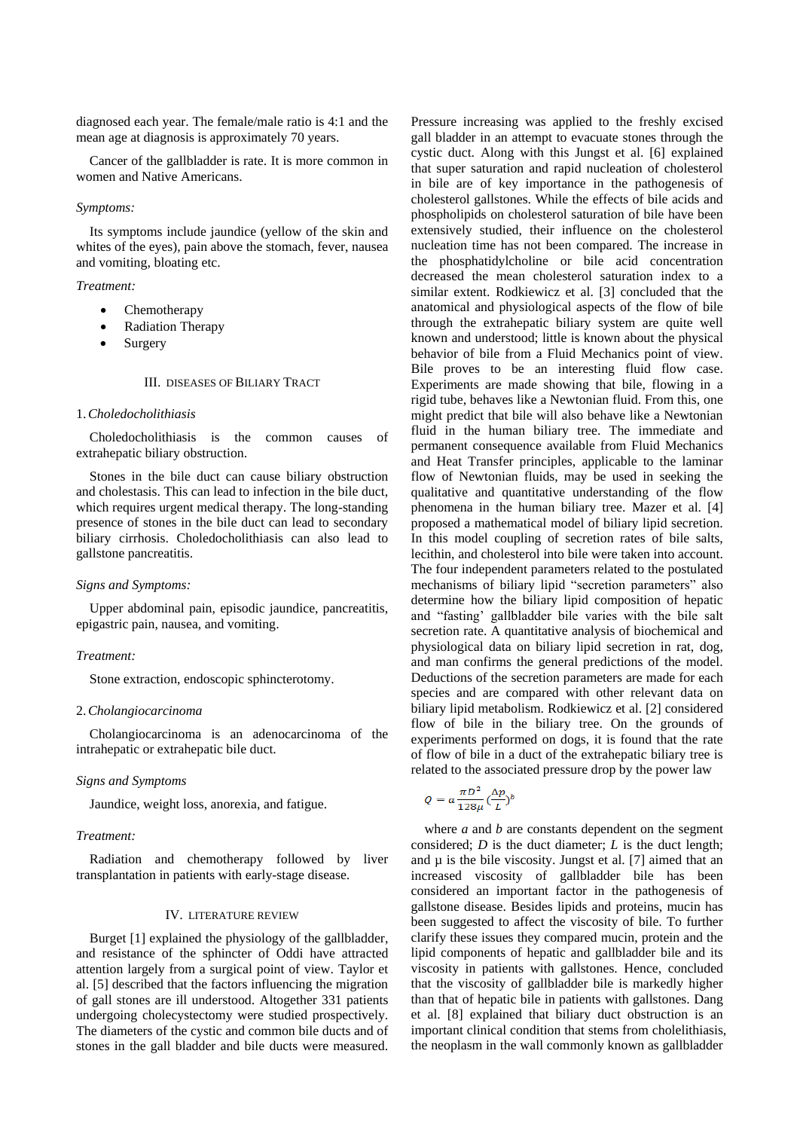diagnosed each year. The female/male ratio is 4:1 and the mean age at diagnosis is approximately 70 years.

Cancer of the gallbladder is rate. It is more common in women and Native Americans.

#### *Symptoms:*

Its symptoms include jaundice (yellow of the skin and whites of the eyes), pain above the stomach, fever, nausea and vomiting, bloating etc.

# *Treatment:*

- Chemotherapy
- Radiation Therapy
- Surgery

#### III. DISEASES OF BILIARY TRACT

## 1.*Choledocholithiasis*

Choledocholithiasis is the common causes of extrahepatic biliary obstruction.

Stones in the bile duct can cause biliary obstruction and cholestasis. This can lead to infection in the bile duct, which requires urgent medical therapy. The long-standing presence of stones in the bile duct can lead to secondary biliary cirrhosis. Choledocholithiasis can also lead to gallstone pancreatitis.

# *Signs and Symptoms:*

Upper abdominal pain, episodic jaundice, pancreatitis, epigastric pain, nausea, and vomiting.

#### *Treatment:*

Stone extraction, endoscopic sphincterotomy.

## 2.*Cholangiocarcinoma*

Cholangiocarcinoma is an adenocarcinoma of the intrahepatic or extrahepatic bile duct.

## *Signs and Symptoms*

Jaundice, weight loss, anorexia, and fatigue.

## *Treatment:*

Radiation and chemotherapy followed by liver transplantation in patients with early-stage disease.

#### IV. LITERATURE REVIEW

Burget [1] explained the physiology of the gallbladder, and resistance of the sphincter of Oddi have attracted attention largely from a surgical point of view. Taylor et al. [5] described that the factors influencing the migration of gall stones are ill understood. Altogether 331 patients undergoing cholecystectomy were studied prospectively. The diameters of the cystic and common bile ducts and of stones in the gall bladder and bile ducts were measured. Pressure increasing was applied to the freshly excised gall bladder in an attempt to evacuate stones through the cystic duct. Along with this Jungst et al. [6] explained that super saturation and rapid nucleation of cholesterol in bile are of key importance in the pathogenesis of cholesterol gallstones. While the effects of bile acids and phospholipids on cholesterol saturation of bile have been extensively studied, their influence on the cholesterol nucleation time has not been compared. The increase in the phosphatidylcholine or bile acid concentration decreased the mean cholesterol saturation index to a similar extent. Rodkiewicz et al. [3] concluded that the anatomical and physiological aspects of the flow of bile through the extrahepatic biliary system are quite well known and understood; little is known about the physical behavior of bile from a Fluid Mechanics point of view. Bile proves to be an interesting fluid flow case. Experiments are made showing that bile, flowing in a rigid tube, behaves like a Newtonian fluid. From this, one might predict that bile will also behave like a Newtonian fluid in the human biliary tree. The immediate and permanent consequence available from Fluid Mechanics and Heat Transfer principles, applicable to the laminar flow of Newtonian fluids, may be used in seeking the qualitative and quantitative understanding of the flow phenomena in the human biliary tree. Mazer et al. [4] proposed a mathematical model of biliary lipid secretion. In this model coupling of secretion rates of bile salts, lecithin, and cholesterol into bile were taken into account. The four independent parameters related to the postulated mechanisms of biliary lipid "secretion parameters" also determine how the biliary lipid composition of hepatic and "fasting' gallbladder bile varies with the bile salt secretion rate. A quantitative analysis of biochemical and physiological data on biliary lipid secretion in rat, dog, and man confirms the general predictions of the model. Deductions of the secretion parameters are made for each species and are compared with other relevant data on biliary lipid metabolism. Rodkiewicz et al. [2] considered flow of bile in the biliary tree. On the grounds of experiments performed on dogs, it is found that the rate of flow of bile in a duct of the extrahepatic biliary tree is related to the associated pressure drop by the power law

$$
Q = a \frac{\pi D^2}{128 \mu} \left(\frac{\Delta p}{L}\right)^b
$$

where *a* and *b* are constants dependent on the segment considered; *D* is the duct diameter; *L* is the duct length; and  $\mu$  is the bile viscosity. Jungst et al. [7] aimed that an increased viscosity of gallbladder bile has been considered an important factor in the pathogenesis of gallstone disease. Besides lipids and proteins, mucin has been suggested to affect the viscosity of bile. To further clarify these issues they compared mucin, protein and the lipid components of hepatic and gallbladder bile and its viscosity in patients with gallstones. Hence, concluded that the viscosity of gallbladder bile is markedly higher than that of hepatic bile in patients with gallstones. Dang et al. [8] explained that biliary duct obstruction is an important clinical condition that stems from cholelithiasis, the neoplasm in the wall commonly known as gallbladder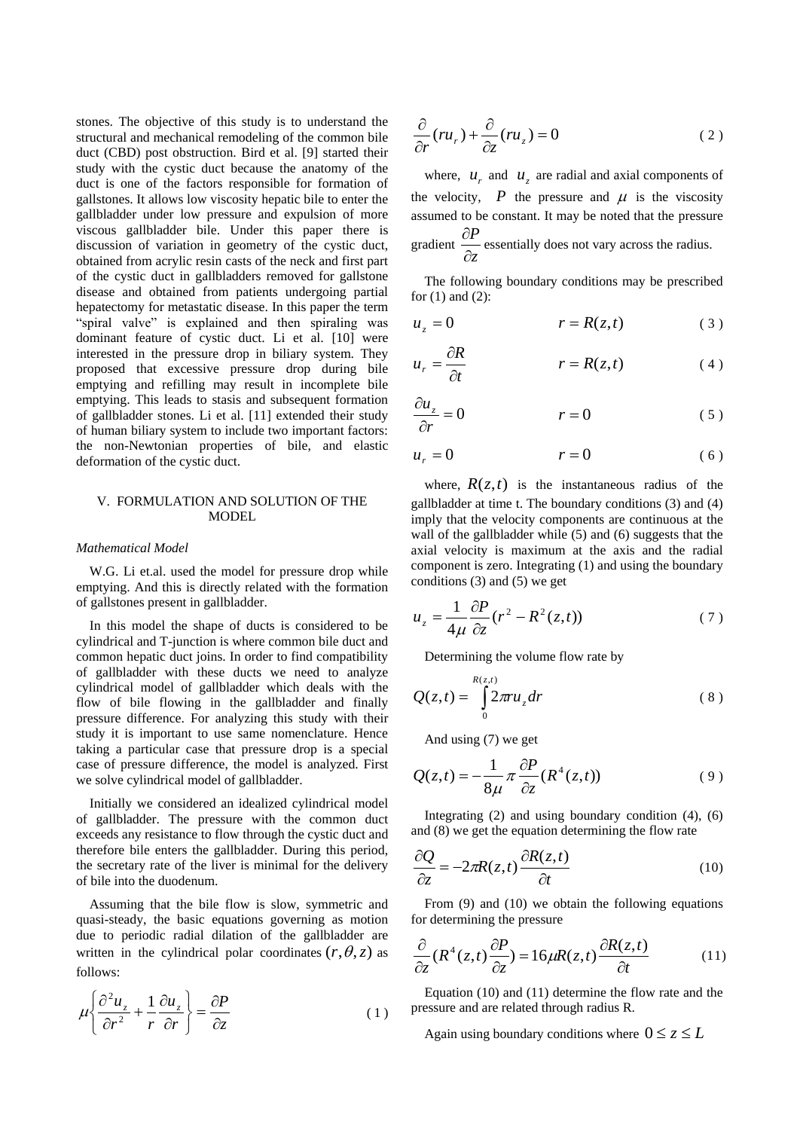stones. The objective of this study is to understand the structural and mechanical remodeling of the common bile duct (CBD) post obstruction. Bird et al. [9] started their study with the cystic duct because the anatomy of the duct is one of the factors responsible for formation of gallstones. It allows low viscosity hepatic bile to enter the gallbladder under low pressure and expulsion of more viscous gallbladder bile. Under this paper there is discussion of variation in geometry of the cystic duct, obtained from acrylic resin casts of the neck and first part of the cystic duct in gallbladders removed for gallstone disease and obtained from patients undergoing partial hepatectomy for metastatic disease. In this paper the term "spiral valve" is explained and then spiraling was dominant feature of cystic duct. Li et al. [10] were interested in the pressure drop in biliary system. They proposed that excessive pressure drop during bile emptying and refilling may result in incomplete bile emptying. This leads to stasis and subsequent formation of gallbladder stones. Li et al. [11] extended their study of human biliary system to include two important factors: the non-Newtonian properties of bile, and elastic deformation of the cystic duct.

# V. FORMULATION AND SOLUTION OF THE MODEL

#### *Mathematical Model*

W.G. Li et.al. used the model for pressure drop while emptying. And this is directly related with the formation of gallstones present in gallbladder.

In this model the shape of ducts is considered to be cylindrical and T-junction is where common bile duct and common hepatic duct joins. In order to find compatibility of gallbladder with these ducts we need to analyze cylindrical model of gallbladder which deals with the flow of bile flowing in the gallbladder and finally pressure difference. For analyzing this study with their study it is important to use same nomenclature. Hence taking a particular case that pressure drop is a special case of pressure difference, the model is analyzed. First we solve cylindrical model of gallbladder.

Initially we considered an idealized cylindrical model of gallbladder. The pressure with the common duct exceeds any resistance to flow through the cystic duct and therefore bile enters the gallbladder. During this period, the secretary rate of the liver is minimal for the delivery of bile into the duodenum.

Assuming that the bile flow is slow, symmetric and quasi-steady, the basic equations governing as motion due to periodic radial dilation of the gallbladder are written in the cylindrical polar coordinates  $(r, \theta, z)$  as follows:

$$
\mu \left\{ \frac{\partial^2 u_z}{\partial r^2} + \frac{1}{r} \frac{\partial u_z}{\partial r} \right\} = \frac{\partial P}{\partial z}
$$
 (1)

$$
\frac{\partial}{\partial r}(ru_r) + \frac{\partial}{\partial z}(ru_z) = 0
$$
\n(2)

where,  $u_r$  and  $u_z$  are radial and axial components of the velocity,  $P$  the pressure and  $\mu$  is the viscosity assumed to be constant. It may be noted that the pressure gradient  $\frac{z}{\partial z}$ *P*  $\partial$  $\frac{\partial P}{\partial \mathbf{r}}$  essentially does not vary across the radius.

The following boundary conditions may be prescribed for (1) and (2):

$$
u_z = 0 \qquad \qquad r = R(z, t) \tag{3}
$$

$$
u_r = \frac{\partial R}{\partial t} \qquad \qquad r = R(z, t) \tag{4}
$$

$$
\frac{\partial u_z}{\partial r} = 0 \qquad \qquad r = 0 \qquad (5)
$$

$$
u_r = 0 \qquad \qquad r = 0 \tag{6}
$$

where,  $R(z,t)$  is the instantaneous radius of the gallbladder at time t. The boundary conditions (3) and (4) imply that the velocity components are continuous at the wall of the gallbladder while (5) and (6) suggests that the axial velocity is maximum at the axis and the radial component is zero. Integrating (1) and using the boundary conditions (3) and (5) we get

$$
u_z = \frac{1}{4\mu} \frac{\partial P}{\partial z} (r^2 - R^2(z, t)) \tag{7}
$$

Determining the volume flow rate by

$$
Q(z,t) = \int_{0}^{R(z,t)} 2\pi r u_z dr \tag{8}
$$

And using (7) we get

$$
Q(z,t) = -\frac{1}{8\mu} \pi \frac{\partial P}{\partial z} (R^4(z,t))
$$
 (9)

Integrating  $(2)$  and using boundary condition  $(4)$ ,  $(6)$ and (8) we get the equation determining the flow rate

$$
\frac{\partial Q}{\partial z} = -2\pi R(z, t) \frac{\partial R(z, t)}{\partial t}
$$
(10)

From (9) and (10) we obtain the following equations for determining the pressure

$$
\frac{\partial}{\partial z}(R^4(z,t)\frac{\partial P}{\partial z}) = 16\mu R(z,t)\frac{\partial R(z,t)}{\partial t}
$$
(11)

Equation (10) and (11) determine the flow rate and the pressure and are related through radius R.

Again using boundary conditions where  $0 \le z \le L$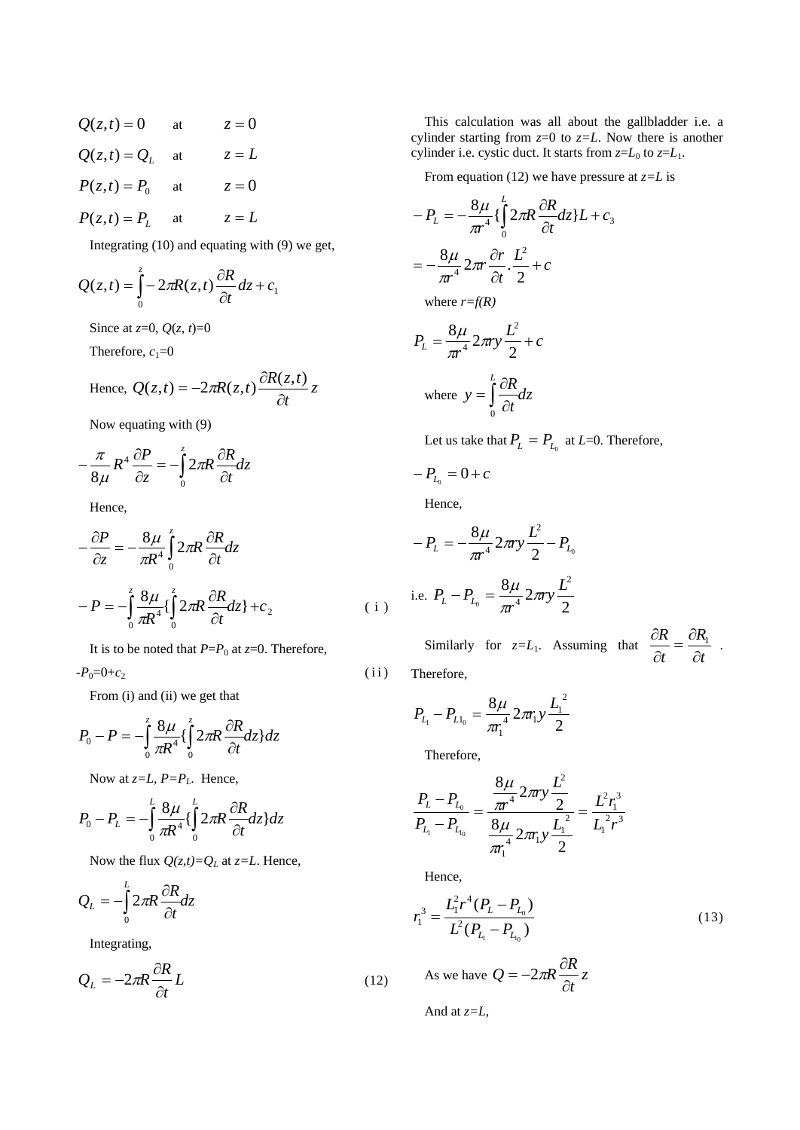$Q(z,t) = 0$  at  $z = 0$  $Q(z,t) = Q_L$  at  $z = L$  $P(z,t) = P_0$ at  $z = 0$  $P(z,t) = P<sub>L</sub>$ at  $z = L$ 

Integrating (10) and equating with (9) we get,

$$
Q(z,t) = \int_{0}^{z} -2\pi R(z,t)\frac{\partial R}{\partial t}dz + c_1
$$

Since at *z*=0, *Q*(*z*, *t*)=0

Therefore,  $c_1=0$ 

Hence, 
$$
Q(z,t) = -2\pi R(z,t) \frac{\partial R(z,t)}{\partial t} z
$$

Now equating with (9)

$$
-\frac{\pi}{8\mu}R^4\frac{\partial P}{\partial z} = -\int_0^z 2\pi R\frac{\partial R}{\partial t}dz
$$

Hence,

$$
-\frac{\partial P}{\partial z} = -\frac{8\mu}{\pi R^4} \int_0^z 2\pi R \frac{\partial R}{\partial t} dz
$$

$$
-P = -\int_0^z \frac{8\mu}{\pi R^4} \left\{ \int_0^z 2\pi R \frac{\partial R}{\partial t} dz \right\} + c_2
$$
(i)

It is to be noted that  $P = P_0$  at  $z = 0$ . Therefore,

 $-P_0=0+c_2$  (ii)

From (i) and (ii) we get that

$$
P_0 - P = -\int_0^z \frac{8\mu}{\pi R^4} \left\{ \int_0^z 2\pi R \frac{\partial R}{\partial t} dz \right\} dz
$$

Now at  $z=L$ ,  $P=P<sub>L</sub>$ . Hence,

$$
P_0 - P_L = -\int_0^L \frac{8\mu}{\pi R^4} \left\{ \int_0^L 2\pi R \frac{\partial R}{\partial t} dz \right\} dz
$$

Now the flux  $Q(z,t)=Q_L$  at  $z=L$ . Hence,

$$
Q_L = -\int_0^L 2\pi R \frac{\partial R}{\partial t} dz
$$

Integrating,

$$
Q_L = -2\pi R \frac{\partial R}{\partial t} L \tag{12}
$$

This calculation was all about the gallbladder i.e. a cylinder starting from *z*=0 to *z=L*. Now there is another cylinder i.e. cystic duct. It starts from  $z=L_0$  to  $z=L_1$ .

From equation (12) we have pressure at *z=L* is

$$
-P_{L} = -\frac{8\mu}{\pi r^{4}} \left\{ \int_{0}^{L} 2\pi R \frac{\partial R}{\partial t} dz \right\} L + c_{3}
$$

$$
= -\frac{8\mu}{\pi r^{4}} 2\pi r \frac{\partial r}{\partial t} \cdot \frac{L^{2}}{2} + c
$$

where  $r=f(R)$ 

$$
P_L = \frac{8\mu}{\pi r^4} 2\pi r y \frac{L^2}{2} + c
$$
  
where  $y = \int_0^L \frac{\partial R}{\partial t} dz$ 

Let us take that  $P_{L} = P_{L_0}$  at *L*=0. Therefore,

$$
-P_{L_0}=0+c
$$

Hence,

$$
-P_{L} = -\frac{8\mu}{\pi r^{4}} 2\pi r y \frac{L^{2}}{2} - P_{L_{0}}
$$
  
i.e.  $P_{L} - P_{L_{0}} = \frac{8\mu}{\pi r^{4}} 2\pi r y \frac{L^{2}}{2}$ 

Similarly for  $z=L_1$ . Assuming that  $\frac{\partial L}{\partial t} = \frac{\partial L}{\partial t}$ *R t R*  $\hat{o}$  $=\frac{\partial}{\partial x}$  $\widehat{o}$  $\frac{\partial R}{\partial R_1} = \frac{\partial R_1}{\partial R_2}$ 

.

Therefore,

$$
P_{L_1} - P_{L1_0} = \frac{8\mu}{\pi r_1^4} 2\pi r_1 y \frac{L_1^2}{2}
$$

Therefore,

$$
\frac{P_{L}-P_{L_{0}}}{P_{L_{1}}-P_{L_{10}}} = \frac{\frac{8\mu}{\pi r^{4}} 2\pi r y \frac{L^{2}}{2}}{\frac{8\mu}{\pi r_{1}^{4}} 2\pi r_{1} y \frac{L_{1}^{2}}{2}} = \frac{L^{2} r_{1}^{3}}{L_{1}^{2} r^{3}}
$$

Hence,

$$
r_1^3 = \frac{L_1^2 r^4 (P_L - P_{L_0})}{L^2 (P_{L_1} - P_{L_0})}
$$
(13)

As we have 
$$
Q = -2\pi R \frac{\partial R}{\partial t} z
$$

And at 
$$
z=L
$$
,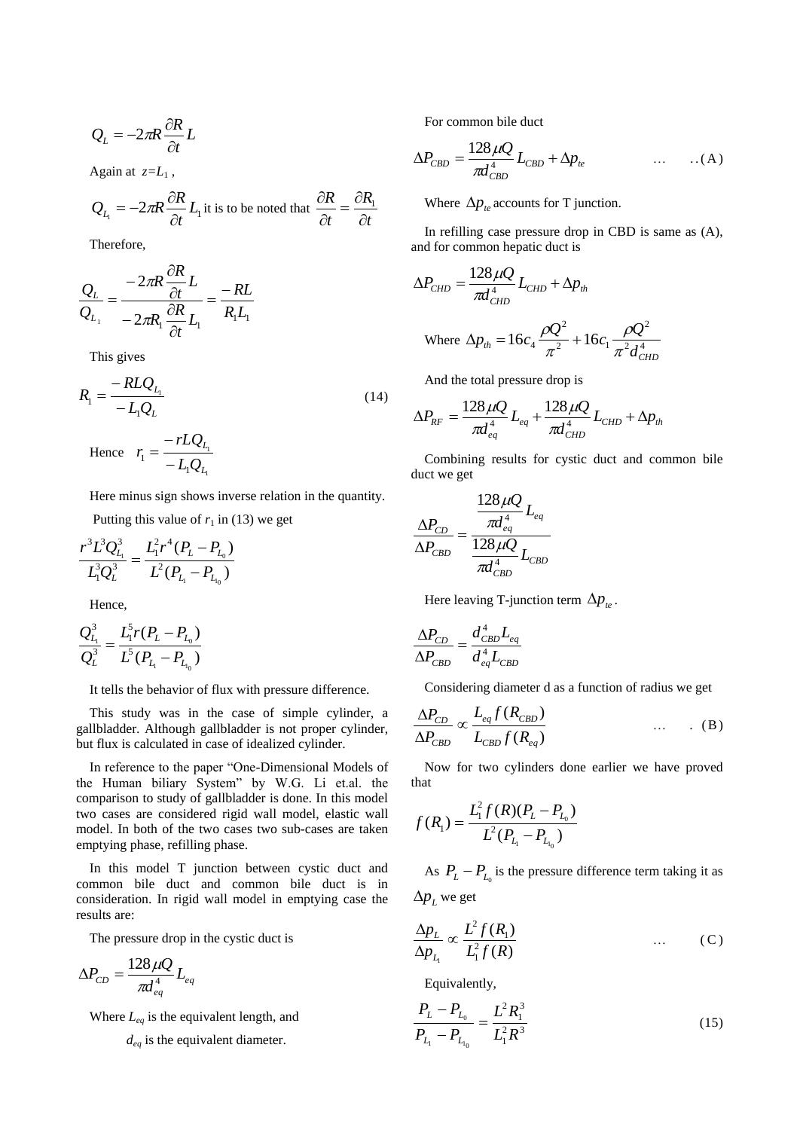$$
Q_L = -2\pi R \frac{\partial R}{\partial t} L
$$

Again at  $z=L_1$ ,

$$
Q_{L_1} = -2\pi R \frac{\partial R}{\partial t} L_1
$$
 it is to be noted that  $\frac{\partial R}{\partial t} = \frac{\partial R_1}{\partial t}$ 

Therefore,

$$
\frac{Q_L}{Q_{L_1}} = \frac{-2\pi R \frac{\partial R}{\partial t}}{-2\pi R_1 \frac{\partial R}{\partial t}} L_1 = \frac{-RL}{R_1 L_1}
$$

This gives

$$
R_{1} = \frac{-RLQ_{L_{1}}}{-L_{1}Q_{L}} - rLQ_{L}
$$
\n(14)

Hence 1 1 1 1 *L L*  $L_1Q$ *rLQ r*  $\overline{a}$  $=\frac{\mathcal{L}_{L_1}}{\mathcal{L}_{L_2}}$ 

Here minus sign shows inverse relation in the quantity.

Putting this value of  $r_1$  in (13) we get

$$
\frac{r^3 L^3 Q_{L_1}^3}{L_1^3 Q_L^3} = \frac{L_1^2 r^4 (P_L - P_{L_0})}{L^2 (P_{L_1} - P_{L_0})}
$$

Hence,

$$
\frac{Q_{L_1}^3}{Q_L^3} = \frac{L_1^5 r (P_L - P_{L_0})}{L^5 (P_{L_1} - P_{L_0})}
$$

It tells the behavior of flux with pressure difference.

This study was in the case of simple cylinder, a gallbladder. Although gallbladder is not proper cylinder, but flux is calculated in case of idealized cylinder.

In reference to the paper "One-Dimensional Models of the Human biliary System" by W.G. Li et.al. the comparison to study of gallbladder is done. In this model two cases are considered rigid wall model, elastic wall model. In both of the two cases two sub-cases are taken emptying phase, refilling phase.

In this model T junction between cystic duct and common bile duct and common bile duct is in consideration. In rigid wall model in emptying case the results are:

The pressure drop in the cystic duct is

$$
\Delta P_{CD} = \frac{128 \,\mu Q}{\pi d_{eq}^4} L_{eq}
$$

Where *Leq* is the equivalent length, and

*deq* is the equivalent diameter.

For common bile duct

$$
\Delta P_{CBD} = \frac{128 \,\mu Q}{\pi d_{CBD}^4} L_{CBD} + \Delta p_{te} \qquad \qquad \dots \qquad \dots (A)
$$

Where  $\Delta p_{te}$  accounts for T junction.

In refilling case pressure drop in CBD is same as (A), and for common hepatic duct is

$$
\Delta P_{CHD} = \frac{128 \,\mu Q}{\pi d_{CHD}^4} L_{CHD} + \Delta p_{th}
$$

Where 
$$
\Delta p_{th} = 16c_4 \frac{\rho Q^2}{\pi^2} + 16c_1 \frac{\rho Q^2}{\pi^2 d_{CHD}^4}
$$

And the total pressure drop is

$$
\Delta P_{RF} = \frac{128 \,\mu Q}{\pi d_{eq}^4} L_{eq} + \frac{128 \,\mu Q}{\pi d_{CHD}^4} L_{CHD} + \Delta p_{th}
$$

Combining results for cystic duct and common bile duct we get

$$
\frac{\Delta P_{CD}}{\Delta P_{CBD}} = \frac{\frac{128 \,\mu Q}{\pi d_{eq}^4}}{\frac{128 \,\mu Q}{\pi d_{CBD}^4} L_{CBD}}
$$

Here leaving T-junction term  $\Delta p_{te}$ .

$$
\frac{\Delta P_{CD}}{\Delta P_{CBD}} = \frac{d^4_{CBD} L_{eq}}{d^4_{eq} L_{CBD}}
$$

Considering diameter d as a function of radius we get

$$
\frac{\Delta P_{CD}}{\Delta P_{CBD}} \propto \frac{L_{eq} f(R_{CBD})}{L_{CBD} f(R_{eq})} \qquad \qquad \dots \qquad (B)
$$

Now for two cylinders done earlier we have proved that

$$
f(R_1) = \frac{L_1^2 f(R)(P_L - P_{L_0})}{L^2 (P_{L_1} - P_{L_0})}
$$

As  $P_{L} - P_{L_0}$  is the pressure difference term taking it as  $\Delta p_L$  we get

$$
\frac{\Delta p_L}{\Delta p_{L_i}} \propto \frac{L^2 f(R_1)}{L_1^2 f(R)} \qquad \qquad \dots \qquad (C)
$$

Equivalently,

$$
\frac{P_L - P_{L_0}}{P_{L_1} - P_{L_{L_0}}} = \frac{L^2 R_1^3}{L_1^2 R^3}
$$
\n(15)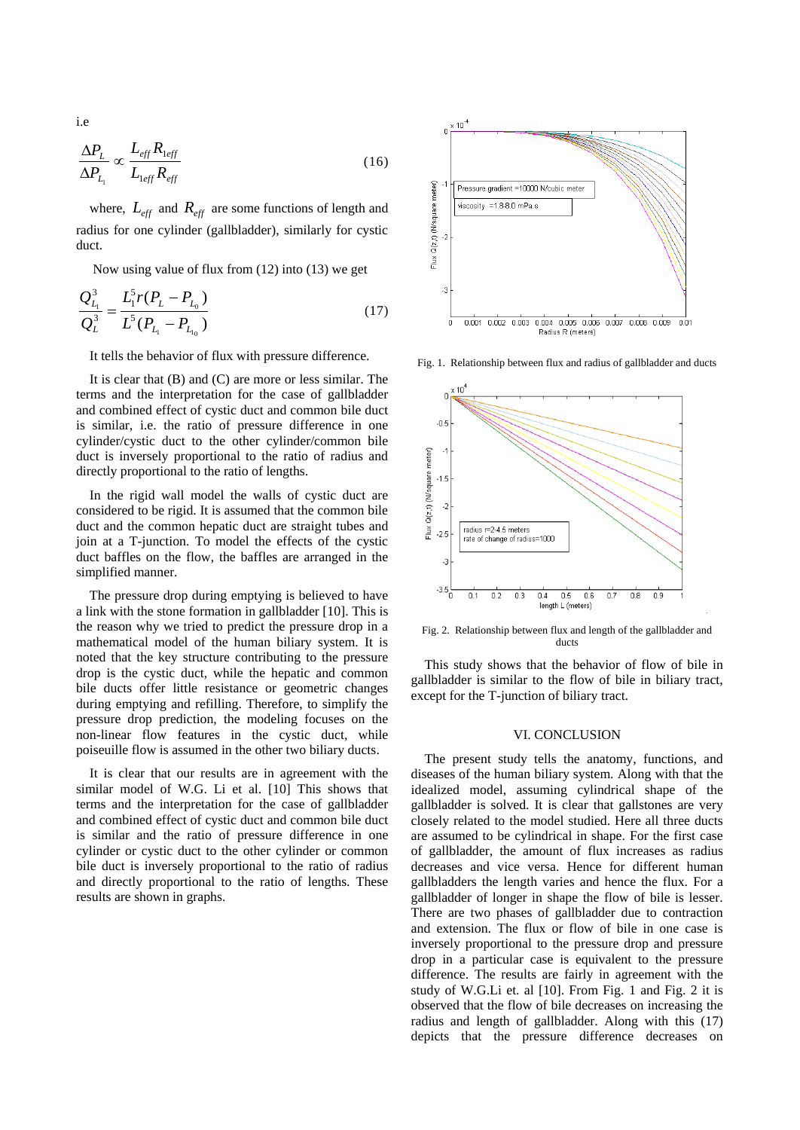$$
\frac{\Delta P_L}{\Delta P_{L_1}} \propto \frac{L_{eff} R_{1eff}}{L_{1eff} R_{eff}} \tag{16}
$$

where,  $L_{\text{eff}}$  and  $R_{\text{eff}}$  are some functions of length and radius for one cylinder (gallbladder), similarly for cystic duct.

Now using value of flux from (12) into (13) we get

$$
\frac{Q_{L_1}^3}{Q_L^3} = \frac{L_1^5 r (P_L - P_{L_0})}{L^5 (P_{L_1} - P_{L_{L_0}})}
$$
(17)

It tells the behavior of flux with pressure difference.

It is clear that (B) and (C) are more or less similar. The terms and the interpretation for the case of gallbladder and combined effect of cystic duct and common bile duct is similar, i.e. the ratio of pressure difference in one cylinder/cystic duct to the other cylinder/common bile duct is inversely proportional to the ratio of radius and directly proportional to the ratio of lengths.

In the rigid wall model the walls of cystic duct are considered to be rigid. It is assumed that the common bile duct and the common hepatic duct are straight tubes and join at a T-junction. To model the effects of the cystic duct baffles on the flow, the baffles are arranged in the simplified manner.

The pressure drop during emptying is believed to have a link with the stone formation in gallbladder [10]. This is the reason why we tried to predict the pressure drop in a mathematical model of the human biliary system. It is noted that the key structure contributing to the pressure drop is the cystic duct, while the hepatic and common bile ducts offer little resistance or geometric changes during emptying and refilling. Therefore, to simplify the pressure drop prediction, the modeling focuses on the non-linear flow features in the cystic duct, while poiseuille flow is assumed in the other two biliary ducts.

It is clear that our results are in agreement with the similar model of W.G. Li et al. [10] This shows that terms and the interpretation for the case of gallbladder and combined effect of cystic duct and common bile duct is similar and the ratio of pressure difference in one cylinder or cystic duct to the other cylinder or common bile duct is inversely proportional to the ratio of radius and directly proportional to the ratio of lengths. These results are shown in graphs.



Fig. 1. Relationship between flux and radius of gallbladder and ducts



Fig. 2. Relationship between flux and length of the gallbladder and ducts

This study shows that the behavior of flow of bile in gallbladder is similar to the flow of bile in biliary tract, except for the T-junction of biliary tract.

### VI. CONCLUSION

The present study tells the anatomy, functions, and diseases of the human biliary system. Along with that the idealized model, assuming cylindrical shape of the gallbladder is solved. It is clear that gallstones are very closely related to the model studied. Here all three ducts are assumed to be cylindrical in shape. For the first case of gallbladder, the amount of flux increases as radius decreases and vice versa. Hence for different human gallbladders the length varies and hence the flux. For a gallbladder of longer in shape the flow of bile is lesser. There are two phases of gallbladder due to contraction and extension. The flux or flow of bile in one case is inversely proportional to the pressure drop and pressure drop in a particular case is equivalent to the pressure difference. The results are fairly in agreement with the study of W.G.Li et. al [10]. From Fig. 1 and Fig. 2 it is observed that the flow of bile decreases on increasing the radius and length of gallbladder. Along with this (17) depicts that the pressure difference decreases on

i.e